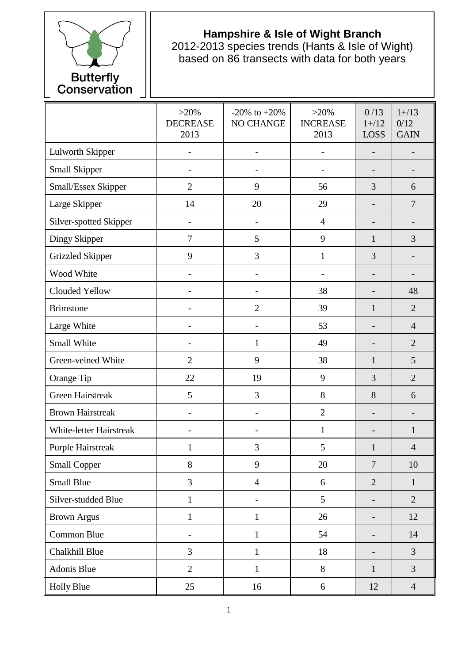

## **Hampshire & Isle of Wight Branch**

2012-2013 species trends (Hants & Isle of Wight) based on 86 transects with data for both years

|                                | $>20\%$<br><b>DECREASE</b><br>2013 | $-20\%$ to $+20\%$<br>NO CHANGE | $>20\%$<br><b>INCREASE</b><br>2013 | 0/13<br>$1 + / 12$<br><b>LOSS</b> | $1 + / 13$<br>0/12<br><b>GAIN</b> |
|--------------------------------|------------------------------------|---------------------------------|------------------------------------|-----------------------------------|-----------------------------------|
| Lulworth Skipper               |                                    | $\overline{\phantom{a}}$        |                                    |                                   |                                   |
| Small Skipper                  |                                    |                                 |                                    |                                   |                                   |
| Small/Essex Skipper            | $\overline{2}$                     | 9                               | 56                                 | 3                                 | 6                                 |
| Large Skipper                  | 14                                 | 20                              | 29                                 |                                   | $\overline{7}$                    |
| Silver-spotted Skipper         | $\overline{\phantom{0}}$           |                                 | $\overline{4}$                     | -                                 |                                   |
| Dingy Skipper                  | $\overline{7}$                     | 5                               | 9                                  | 1                                 | 3                                 |
| <b>Grizzled Skipper</b>        | 9                                  | 3                               | $\mathbf{1}$                       | 3                                 |                                   |
| Wood White                     |                                    |                                 |                                    | $\overline{\phantom{0}}$          |                                   |
| Clouded Yellow                 |                                    |                                 | 38                                 |                                   | 48                                |
| <b>Brimstone</b>               | $\overline{\phantom{0}}$           | $\overline{2}$                  | 39                                 | $\mathbf{1}$                      | $\overline{2}$                    |
| Large White                    |                                    |                                 | 53                                 |                                   | $\overline{4}$                    |
| Small White                    |                                    | $\mathbf{1}$                    | 49                                 |                                   | $\overline{2}$                    |
| Green-veined White             | $\overline{2}$                     | 9                               | 38                                 | 1                                 | 5                                 |
| Orange Tip                     | 22                                 | 19                              | 9                                  | 3                                 | $\overline{2}$                    |
| <b>Green Hairstreak</b>        | 5                                  | 3                               | 8                                  | 8                                 | 6                                 |
| <b>Brown Hairstreak</b>        | $\overline{\phantom{0}}$           | $\overline{\phantom{a}}$        | $\overline{2}$                     | $\overline{\phantom{0}}$          | $\overline{\phantom{0}}$          |
| <b>White-letter Hairstreak</b> |                                    |                                 | $\mathbf{1}$                       | -                                 | $\mathbf{1}$                      |
| <b>Purple Hairstreak</b>       | $\mathbf 1$                        | 3                               | 5                                  | $\mathbf{1}$                      | $\overline{4}$                    |
| <b>Small Copper</b>            | 8                                  | 9                               | 20                                 | $\overline{7}$                    | 10                                |
| <b>Small Blue</b>              | 3                                  | $\overline{4}$                  | 6                                  | $\overline{2}$                    | $\mathbf{1}$                      |
| Silver-studded Blue            | $\mathbf{1}$                       | $\overline{\phantom{a}}$        | 5                                  | $\overline{\phantom{0}}$          | $\overline{2}$                    |
| <b>Brown Argus</b>             | $\mathbf{1}$                       | $\mathbf{1}$                    | 26                                 | $\overline{a}$                    | 12                                |
| Common Blue                    | $\qquad \qquad -$                  | $\mathbf{1}$                    | 54                                 | -                                 | 14                                |
| Chalkhill Blue                 | 3                                  | $\mathbf{1}$                    | 18                                 | $\overline{\phantom{0}}$          | $\overline{3}$                    |
| Adonis Blue                    | $\overline{2}$                     | $\mathbf{1}$                    | 8                                  | $\mathbf{1}$                      | $\overline{3}$                    |
| <b>Holly Blue</b>              | 25                                 | 16                              | 6                                  | 12                                | $\overline{4}$                    |